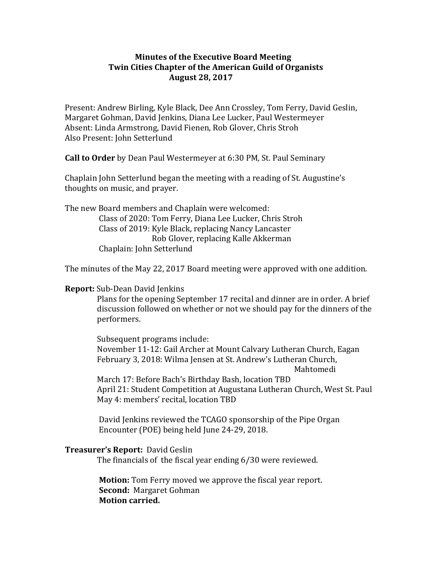## **Minutes of the Executive Board Meeting Twin Cities Chapter of the American Guild of Organists August 28, 2017**

Present: Andrew Birling, Kyle Black, Dee Ann Crossley, Tom Ferry, David Geslin, Margaret Gohman, David Jenkins, Diana Lee Lucker, Paul Westermeyer Absent: Linda Armstrong, David Fienen, Rob Glover, Chris Stroh Also Present: John Setterlund

**Call to Order** by Dean Paul Westermeyer at 6:30 PM, St. Paul Seminary

Chaplain John Setterlund began the meeting with a reading of St. Augustine's thoughts on music, and prayer.

The new Board members and Chaplain were welcomed: Class of 2020: Tom Ferry, Diana Lee Lucker, Chris Stroh Class of 2019: Kyle Black, replacing Nancy Lancaster Rob Glover, replacing Kalle Akkerman Chaplain: John Setterlund

The minutes of the May 22, 2017 Board meeting were approved with one addition.

## **Report:** Sub-Dean David Jenkins

Plans for the opening September 17 recital and dinner are in order. A brief discussion followed on whether or not we should pay for the dinners of the performers.

Subsequent programs include: November 11-12: Gail Archer at Mount Calvary Lutheran Church, Eagan February 3, 2018: Wilma Jensen at St. Andrew's Lutheran Church, Mahtomedi 

March 17: Before Bach's Birthday Bash, location TBD April 21: Student Competition at Augustana Lutheran Church, West St. Paul May 4: members' recital, location TBD

David Jenkins reviewed the TCAGO sponsorship of the Pipe Organ Encounter (POE) being held June 24-29, 2018.

## **Treasurer's Report: David Geslin**

The financials of the fiscal year ending  $6/30$  were reviewed.

**Motion:** Tom Ferry moved we approve the fiscal year report. **Second:** Margaret Gohman **Motion carried.**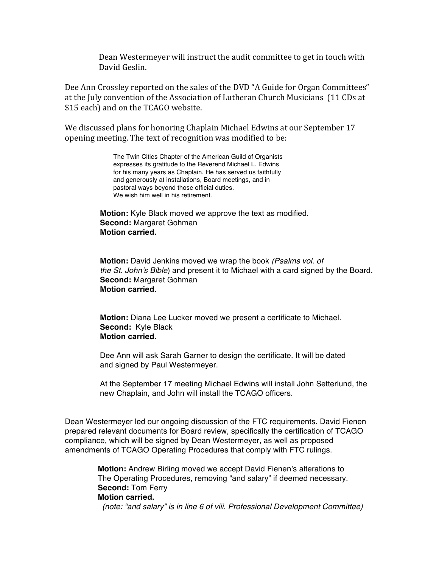Dean Westermeyer will instruct the audit committee to get in touch with David Geslin.

Dee Ann Crossley reported on the sales of the DVD "A Guide for Organ Committees" at the July convention of the Association of Lutheran Church Musicians (11 CDs at \$15 each) and on the TCAGO website.

We discussed plans for honoring Chaplain Michael Edwins at our September 17 opening meeting. The text of recognition was modified to be:

> The Twin Cities Chapter of the American Guild of Organists expresses its gratitude to the Reverend Michael L. Edwins for his many years as Chaplain. He has served us faithfully and generously at installations, Board meetings, and in pastoral ways beyond those official duties. We wish him well in his retirement.

 **Motion:** Kyle Black moved we approve the text as modified. **Second:** Margaret Gohman **Motion carried.**

 **Motion:** David Jenkins moved we wrap the book *(Psalms vol. of the St. John's Bible*) and present it to Michael with a card signed by the Board. **Second:** Margaret Gohman **Motion carried.**

 **Motion:** Diana Lee Lucker moved we present a certificate to Michael. **Second:** Kyle Black **Motion carried.**

 Dee Ann will ask Sarah Garner to design the certificate. It will be dated and signed by Paul Westermeyer.

 At the September 17 meeting Michael Edwins will install John Setterlund, the new Chaplain, and John will install the TCAGO officers.

Dean Westermeyer led our ongoing discussion of the FTC requirements. David Fienen prepared relevant documents for Board review, specifically the certification of TCAGO compliance, which will be signed by Dean Westermeyer, as well as proposed amendments of TCAGO Operating Procedures that comply with FTC rulings.

> **Motion:** Andrew Birling moved we accept David Fienen's alterations to The Operating Procedures, removing "and salary" if deemed necessary.  **Second:** Tom Ferry

**Motion carried.**

*(note: "and salary" is in line 6 of viii. Professional Development Committee)*